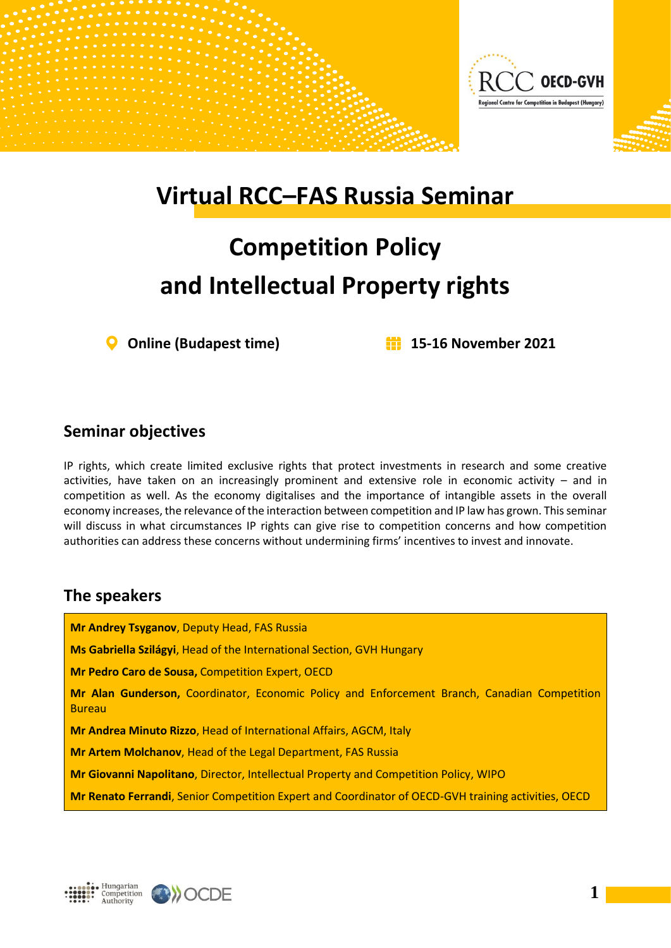

## **Virtual RCC–FAS Russia Seminar**

# **Competition Policy and Intellectual Property rights**

**Online (Budapest time) 15-16 November 2021**

#### **Seminar objectives**

IP rights, which create limited exclusive rights that protect investments in research and some creative activities, have taken on an increasingly prominent and extensive role in economic activity – and in competition as well. As the economy digitalises and the importance of intangible assets in the overall economy increases, the relevance of the interaction between competition and IP law has grown. This seminar will discuss in what circumstances IP rights can give rise to competition concerns and how competition authorities can address these concerns without undermining firms' incentives to invest and innovate.

#### **The speakers**

**Mr Andrey Tsyganov**, Deputy Head, FAS Russia **Ms Gabriella Szilágyi**, Head of the International Section, GVH Hungary **Mr Pedro Caro de Sousa,** Competition Expert, OECD **Mr Alan Gunderson,** Coordinator, Economic Policy and Enforcement Branch, Canadian Competition Bureau **Mr Andrea Minuto Rizzo**, Head of International Affairs, AGCM, Italy **Mr Artem Molchanov**, Head of the Legal Department, FAS Russia **Mr Giovanni Napolitano**, Director, Intellectual Property and Competition Policy, WIPO **Mr Renato Ferrandi**, Senior Competition Expert and Coordinator of OECD-GVH training activities, OECD



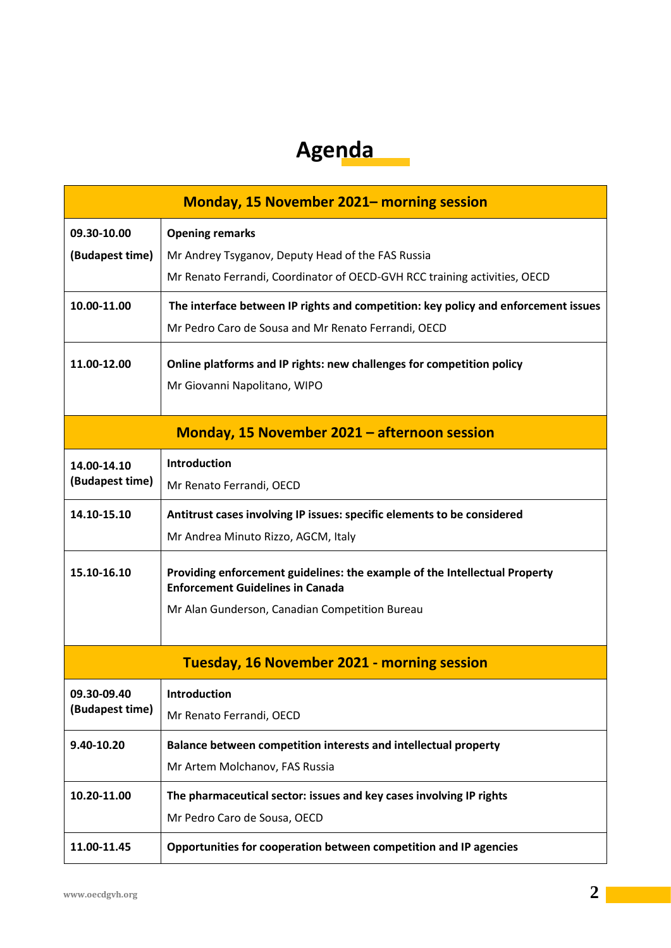### **Agenda**

| <b>Monday, 15 November 2021– morning session</b>    |                                                                                                                                |
|-----------------------------------------------------|--------------------------------------------------------------------------------------------------------------------------------|
| 09.30-10.00                                         | <b>Opening remarks</b>                                                                                                         |
| (Budapest time)                                     | Mr Andrey Tsyganov, Deputy Head of the FAS Russia<br>Mr Renato Ferrandi, Coordinator of OECD-GVH RCC training activities, OECD |
| 10.00-11.00                                         | The interface between IP rights and competition: key policy and enforcement issues                                             |
|                                                     | Mr Pedro Caro de Sousa and Mr Renato Ferrandi, OECD                                                                            |
| 11.00-12.00                                         | Online platforms and IP rights: new challenges for competition policy                                                          |
|                                                     | Mr Giovanni Napolitano, WIPO                                                                                                   |
| <b>Monday, 15 November 2021 - afternoon session</b> |                                                                                                                                |
| 14.00-14.10<br>(Budapest time)                      | <b>Introduction</b>                                                                                                            |
|                                                     | Mr Renato Ferrandi, OECD                                                                                                       |
| 14.10-15.10                                         | Antitrust cases involving IP issues: specific elements to be considered                                                        |
|                                                     | Mr Andrea Minuto Rizzo, AGCM, Italy                                                                                            |
| 15.10-16.10                                         | Providing enforcement guidelines: the example of the Intellectual Property<br><b>Enforcement Guidelines in Canada</b>          |
|                                                     | Mr Alan Gunderson, Canadian Competition Bureau                                                                                 |
|                                                     |                                                                                                                                |
| <b>Tuesday, 16 November 2021 - morning session</b>  |                                                                                                                                |
| 09.30-09.40<br>(Budapest time)                      | <b>Introduction</b>                                                                                                            |
|                                                     | Mr Renato Ferrandi, OECD                                                                                                       |
| 9.40-10.20                                          | Balance between competition interests and intellectual property                                                                |
|                                                     | Mr Artem Molchanov, FAS Russia                                                                                                 |
| 10.20-11.00                                         | The pharmaceutical sector: issues and key cases involving IP rights                                                            |
|                                                     | Mr Pedro Caro de Sousa, OECD                                                                                                   |
| 11.00-11.45                                         | Opportunities for cooperation between competition and IP agencies                                                              |